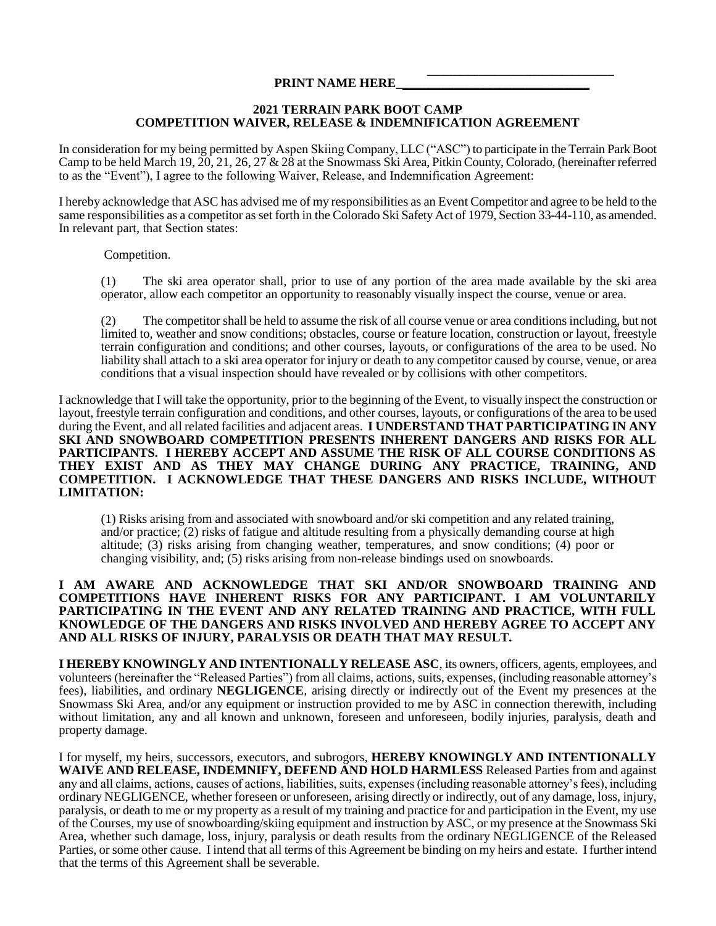#### **\_\_\_\_\_\_\_\_\_\_\_\_\_\_\_\_\_\_\_\_\_\_\_\_\_\_\_\_\_ PRINT NAME HERE**

### **2021 TERRAIN PARK BOOT CAMP COMPETITION WAIVER, RELEASE & INDEMNIFICATION AGREEMENT**

In consideration for my being permitted by Aspen Skiing Company, LLC ("ASC") to participate in the Terrain Park Boot Camp to be held March 19, 20, 21, 26, 27 & 28 at the Snowmass Ski Area, Pitkin County, Colorado, (hereinafter referred to as the "Event"), I agree to the following Waiver, Release, and Indemnification Agreement:

I hereby acknowledge that ASC has advised me of my responsibilities as an Event Competitor and agree to be held to the same responsibilities as a competitor as set forth in the Colorado Ski Safety Act of 1979, Section 33-44-110, as amended. In relevant part, that Section states:

### Competition.

(1) The ski area operator shall, prior to use of any portion of the area made available by the ski area operator, allow each competitor an opportunity to reasonably visually inspect the course, venue or area.

(2) The competitor shall be held to assume the risk of all course venue or area conditions including, but not limited to, weather and snow conditions; obstacles, course or feature location, construction or layout, freestyle terrain configuration and conditions; and other courses, layouts, or configurations of the area to be used. No liability shall attach to a ski area operator for injury or death to any competitor caused by course, venue, or area conditions that a visual inspection should have revealed or by collisions with other competitors.

I acknowledge that I will take the opportunity, prior to the beginning of the Event, to visually inspect the construction or layout, freestyle terrain configuration and conditions, and other courses, layouts, or configurations of the area to be used during the Event, and all related facilities and adjacent areas. **I UNDERSTAND THAT PARTICIPATING IN ANY SKI AND SNOWBOARD COMPETITION PRESENTS INHERENT DANGERS AND RISKS FOR ALL PARTICIPANTS. I HEREBY ACCEPT AND ASSUME THE RISK OF ALL COURSE CONDITIONS AS THEY EXIST AND AS THEY MAY CHANGE DURING ANY PRACTICE, TRAINING, AND COMPETITION. I ACKNOWLEDGE THAT THESE DANGERS AND RISKS INCLUDE, WITHOUT LIMITATION:**

(1) Risks arising from and associated with snowboard and/or ski competition and any related training, and/or practice; (2) risks of fatigue and altitude resulting from a physically demanding course at high altitude; (3) risks arising from changing weather, temperatures, and snow conditions; (4) poor or changing visibility, and; (5) risks arising from non-release bindings used on snowboards.

### **I AM AWARE AND ACKNOWLEDGE THAT SKI AND/OR SNOWBOARD TRAINING AND COMPETITIONS HAVE INHERENT RISKS FOR ANY PARTICIPANT. I AM VOLUNTARILY PARTICIPATING IN THE EVENT AND ANY RELATED TRAINING AND PRACTICE, WITH FULL KNOWLEDGE OF THE DANGERS AND RISKS INVOLVED AND HEREBY AGREE TO ACCEPT ANY AND ALL RISKS OF INJURY, PARALYSIS OR DEATH THAT MAY RESULT.**

**I HEREBY KNOWINGLY AND INTENTIONALLY RELEASE ASC**, its owners, officers, agents, employees, and volunteers (hereinafter the "Released Parties") from all claims, actions, suits, expenses, (including reasonable attorney's fees), liabilities, and ordinary **NEGLIGENCE**, arising directly or indirectly out of the Event my presences at the Snowmass Ski Area, and/or any equipment or instruction provided to me by ASC in connection therewith, including without limitation, any and all known and unknown, foreseen and unforeseen, bodily injuries, paralysis, death and property damage.

I for myself, my heirs, successors, executors, and subrogors, **HEREBY KNOWINGLY AND INTENTIONALLY**  WAIVE AND RELEASE, INDEMNIFY, DEFEND AND HOLD HARMLESS Released Parties from and against any and all claims, actions, causes of actions, liabilities, suits, expenses (including reasonable attorney's fees), including ordinary NEGLIGENCE, whether foreseen or unforeseen, arising directly or indirectly, out of any damage, loss, injury, paralysis, or death to me or my property as a result of my training and practice for and participation in the Event, my use of the Courses, my use of snowboarding/skiing equipment and instruction by ASC, or my presence at the Snowmass Ski Area, whether such damage, loss, injury, paralysis or death results from the ordinary NEGLIGENCE of the Released Parties, or some other cause. I intend that all terms of this Agreement be binding on my heirs and estate. I further intend that the terms of this Agreement shall be severable.